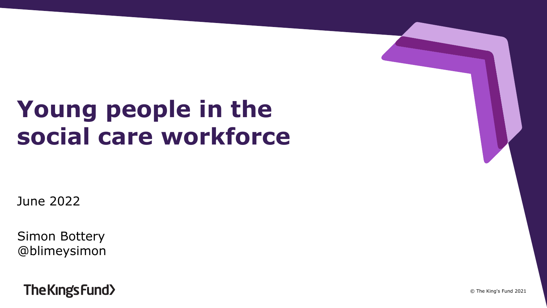# **Young people in the social care workforce**

June 2022

Simon Bottery @blimeysimon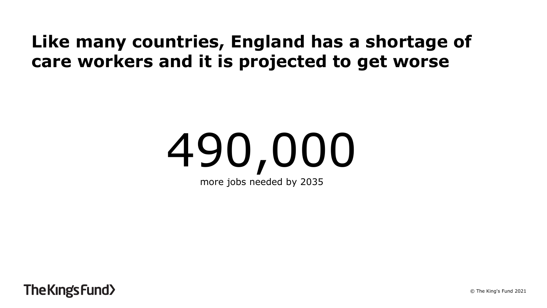### **Like many countries, England has a shortage of care workers and it is projected to get worse**

# 490,000 more jobs needed by 2035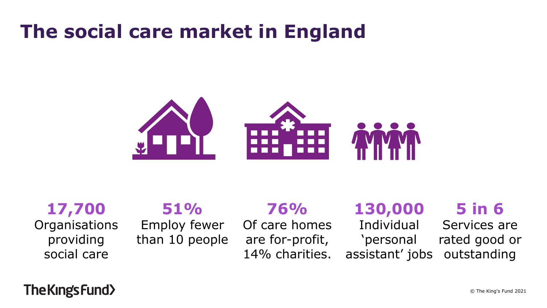## **The social care market in England**



**17,700 Organisations** providing social care

### **51%**

Employ fewer than 10 people

## **76%**

Of care homes are for-profit, 14% charities.

## **130,000**

Individual 'personal assistant' jobs **5 in 6**

Services are rated good or outstanding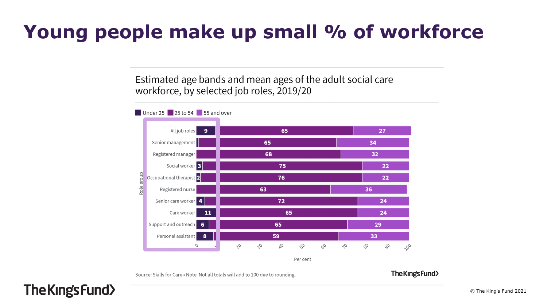## **Young people make up small % of workforce**

Estimated age bands and mean ages of the adult social care workforce, by selected job roles, 2019/20



Source: Skills for Care . Note: Not all totals will add to 100 due to rounding.

The Kings Fund>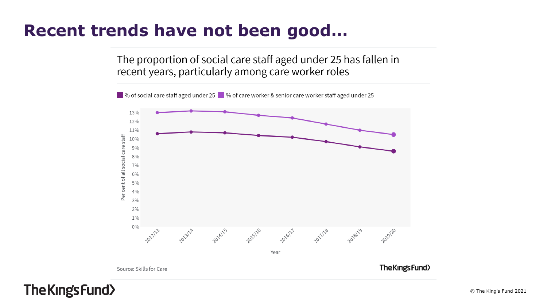### **Recent trends have not been good…**

The proportion of social care staff aged under 25 has fallen in recent years, particularly among care worker roles

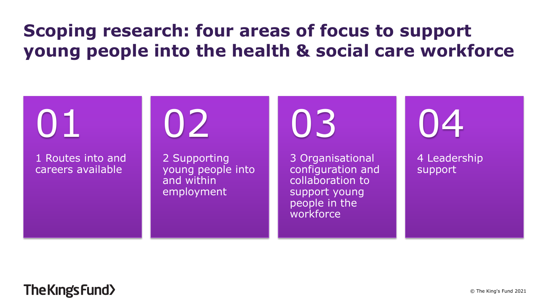## **Scoping research: four areas of focus to support young people into the health & social care workforce**

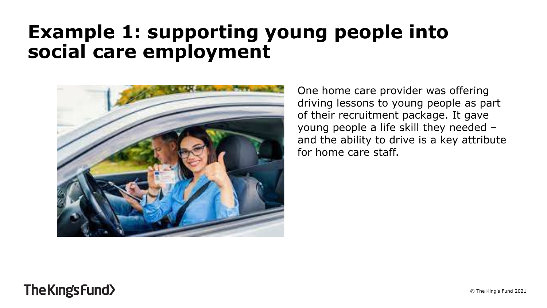## **Example 1: supporting young people into social care employment**



One home care provider was offering driving lessons to young people as part of their recruitment package. It gave young people a life skill they needed – and the ability to drive is a key attribute for home care staff.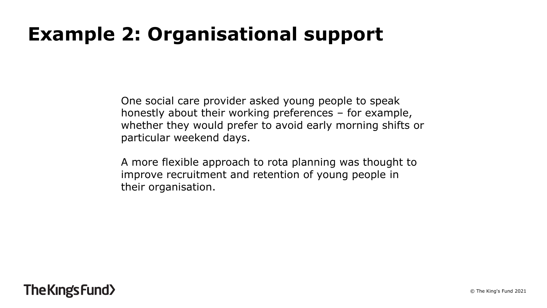## **Example 2: Organisational support**

One social care provider asked young people to speak honestly about their working preferences – for example, whether they would prefer to avoid early morning shifts or particular weekend days.

A more flexible approach to rota planning was thought to improve recruitment and retention of young people in their organisation.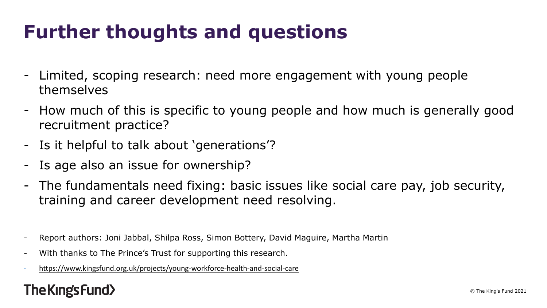## **Further thoughts and questions**

- Limited, scoping research: need more engagement with young people themselves
- How much of this is specific to young people and how much is generally good recruitment practice?
- Is it helpful to talk about 'generations'?
- Is age also an issue for ownership?
- The fundamentals need fixing: basic issues like social care pay, job security, training and career development need resolving.
- Report authors: Joni Jabbal, Shilpa Ross, Simon Bottery, David Maguire, Martha Martin
- With thanks to The Prince's Trust for supporting this research.
- <https://www.kingsfund.org.uk/projects/young-workforce-health-and-social-care>